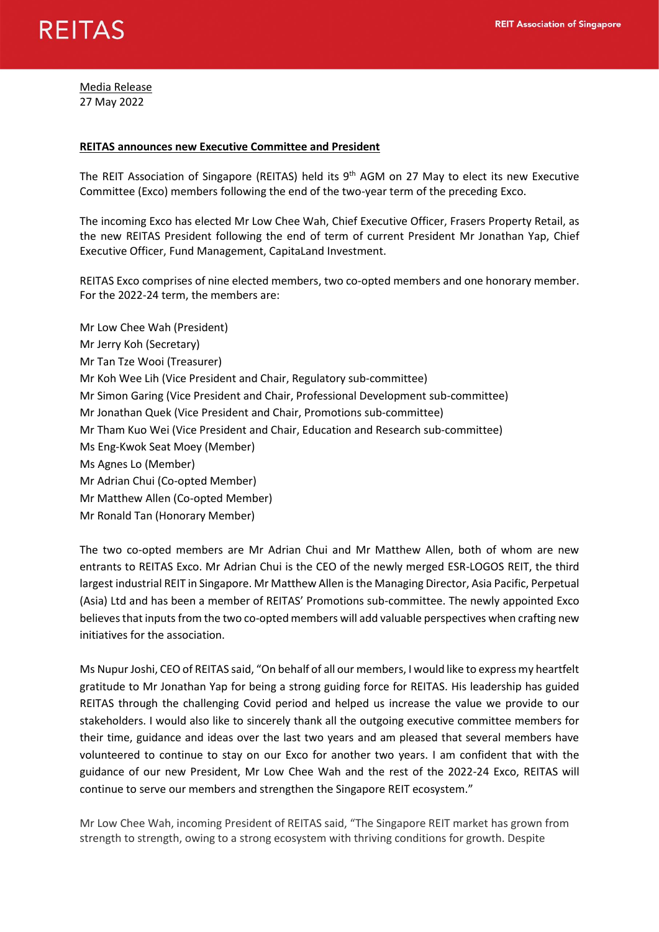

Media Release 27 May 2022

## **REITAS announces new Executive Committee and President**

The REIT Association of Singapore (REITAS) held its  $9<sup>th</sup>$  AGM on 27 May to elect its new Executive Committee (Exco) members following the end of the two-year term of the preceding Exco.

The incoming Exco has elected Mr Low Chee Wah, Chief Executive Officer, Frasers Property Retail, as the new REITAS President following the end of term of current President Mr Jonathan Yap, Chief Executive Officer, Fund Management, CapitaLand Investment.

REITAS Exco comprises of nine elected members, two co-opted members and one honorary member. For the 2022-24 term, the members are:

Mr Low Chee Wah (President) Mr Jerry Koh (Secretary) Mr Tan Tze Wooi (Treasurer) Mr Koh Wee Lih (Vice President and Chair, Regulatory sub-committee) Mr Simon Garing (Vice President and Chair, Professional Development sub-committee) Mr Jonathan Quek (Vice President and Chair, Promotions sub-committee) Mr Tham Kuo Wei (Vice President and Chair, Education and Research sub-committee) Ms Eng-Kwok Seat Moey (Member) Ms Agnes Lo (Member) Mr Adrian Chui (Co-opted Member) Mr Matthew Allen (Co-opted Member) Mr Ronald Tan (Honorary Member)

The two co-opted members are Mr Adrian Chui and Mr Matthew Allen, both of whom are new entrants to REITAS Exco. Mr Adrian Chui is the CEO of the newly merged ESR-LOGOS REIT, the third largest industrial REIT in Singapore. Mr Matthew Allen is the Managing Director, Asia Pacific, Perpetual (Asia) Ltd and has been a member of REITAS' Promotions sub-committee. The newly appointed Exco believes that inputs from the two co-opted members will add valuable perspectives when crafting new initiatives for the association.

Ms Nupur Joshi, CEO of REITAS said, "On behalf of all our members, I would like to express my heartfelt gratitude to Mr Jonathan Yap for being a strong guiding force for REITAS. His leadership has guided REITAS through the challenging Covid period and helped us increase the value we provide to our stakeholders. I would also like to sincerely thank all the outgoing executive committee members for their time, guidance and ideas over the last two years and am pleased that several members have volunteered to continue to stay on our Exco for another two years. I am confident that with the guidance of our new President, Mr Low Chee Wah and the rest of the 2022-24 Exco, REITAS will continue to serve our members and strengthen the Singapore REIT ecosystem."

Mr Low Chee Wah, incoming President of REITAS said, "The Singapore REIT market has grown from strength to strength, owing to a strong ecosystem with thriving conditions for growth. Despite